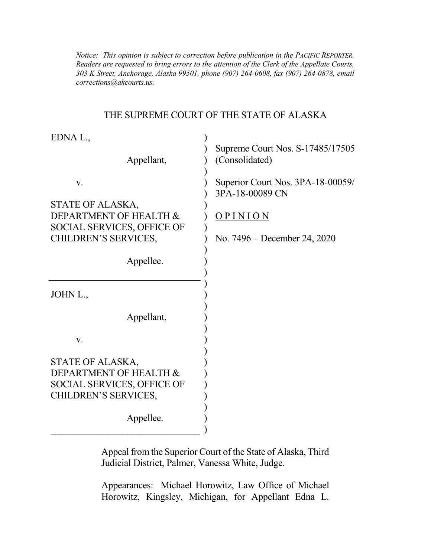*Notice: This opinion is subject to correction before publication in the PACIFIC REPORTER. Readers are requested to bring errors to the attention of the Clerk of the Appellate Courts, 303 K Street, Anchorage, Alaska 99501, phone (907) 264-0608, fax (907) 264-0878, email corrections@akcourts.us.* 

#### THE SUPREME COURT OF THE STATE OF ALASKA

| EDNA L.,<br>Appellant,                                                                                                            | Supreme Court Nos. S-17485/17505<br>(Consolidated)                                                |
|-----------------------------------------------------------------------------------------------------------------------------------|---------------------------------------------------------------------------------------------------|
| V.<br>STATE OF ALASKA,<br>DEPARTMENT OF HEALTH &<br><b>SOCIAL SERVICES, OFFICE OF</b><br><b>CHILDREN'S SERVICES,</b><br>Appellee. | Superior Court Nos. 3PA-18-00059/<br>3PA-18-00089 CN<br>OPINION<br>No. $7496 - December 24, 2020$ |
| JOHN L.,                                                                                                                          |                                                                                                   |
| Appellant,                                                                                                                        |                                                                                                   |
| V.                                                                                                                                |                                                                                                   |
| STATE OF ALASKA,<br>DEPARTMENT OF HEALTH &<br><b>SOCIAL SERVICES, OFFICE OF</b><br><b>CHILDREN'S SERVICES,</b><br>Appellee.       |                                                                                                   |

Appeal from the Superior Court of the State of Alaska, Third Judicial District, Palmer, Vanessa White, Judge.

Appearances: Michael Horowitz, Law Office of Michael Horowitz, Kingsley, Michigan, for Appellant Edna L.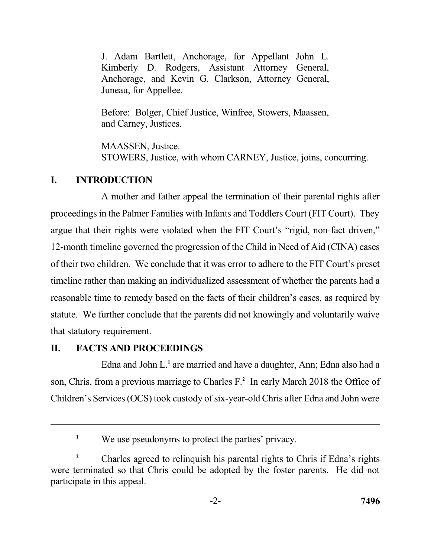J. Adam Bartlett, Anchorage, for Appellant John L. Kimberly D. Rodgers, Assistant Attorney General, Anchorage, and Kevin G. Clarkson, Attorney General, Juneau, for Appellee.

 Before: Bolger, Chief Justice, Winfree, Stowers, Maassen, and Carney, Justices.

 STOWERS, Justice, with whom CARNEY, Justice, joins, concurring. MAASSEN, Justice.

### **I. INTRODUCTION**

 A mother and father appeal the termination of their parental rights after proceedings in the Palmer Families with Infants and Toddlers Court (FIT Court). They argue that their rights were violated when the FIT Court's "rigid, non-fact driven," 12-month timeline governed the progression of the Child in Need of Aid (CINA) cases of their two children. We conclude that it was error to adhere to the FIT Court's preset timeline rather than making an individualized assessment of whether the parents had a reasonable time to remedy based on the facts of their children's cases, as required by statute. We further conclude that the parents did not knowingly and voluntarily waive that statutory requirement.

### **II. FACTS AND PROCEEDINGS**

 Edna and John L.**<sup>1</sup>**are married and have a daughter, Ann; Edna also had a son, Chris, from a previous marriage to Charles F.**<sup>2</sup>** In early March 2018 the Office of Children's Services (OCS) took custody of six-year-old Chris after Edna and John were

<sup>&</sup>lt;sup>1</sup> We use pseudonyms to protect the parties' privacy.

<sup>&</sup>lt;sup>2</sup> Charles agreed to relinquish his parental rights to Chris if Edna's rights were terminated so that Chris could be adopted by the foster parents. He did not participate in this appeal.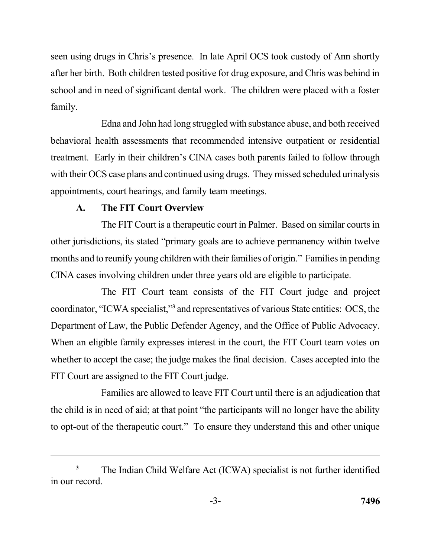seen using drugs in Chris's presence. In late April OCS took custody of Ann shortly after her birth. Both children tested positive for drug exposure, and Chris was behind in school and in need of significant dental work. The children were placed with a foster family.

 Edna and John had long struggled with substance abuse, and both received behavioral health assessments that recommended intensive outpatient or residential treatment. Early in their children's CINA cases both parents failed to follow through with their OCS case plans and continued using drugs. They missed scheduled urinalysis appointments, court hearings, and family team meetings.

## **A. The FIT Court Overview**

 The FIT Court is a therapeutic court in Palmer. Based on similar courts in other jurisdictions, its stated "primary goals are to achieve permanency within twelve months and to reunify young children with their families of origin." Families in pending CINA cases involving children under three years old are eligible to participate.

 The FIT Court team consists of the FIT Court judge and project coordinator, "ICWA specialist,"**<sup>3</sup>**and representatives of various State entities: OCS, the When an eligible family expresses interest in the court, the FIT Court team votes on whether to accept the case; the judge makes the final decision. Cases accepted into the FIT Court are assigned to the FIT Court judge. Department of Law, the Public Defender Agency, and the Office of Public Advocacy.

 Families are allowed to leave FIT Court until there is an adjudication that the child is in need of aid; at that point "the participants will no longer have the ability to opt-out of the therapeutic court." To ensure they understand this and other unique

 The Indian Child Welfare Act (ICWA) specialist is not further identified in our record. **3**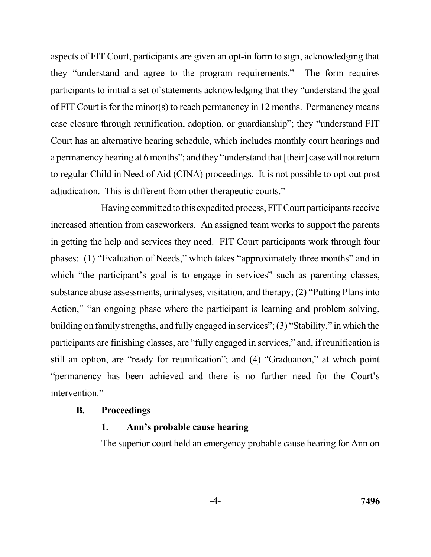aspects of FIT Court, participants are given an opt-in form to sign, acknowledging that they "understand and agree to the program requirements." The form requires participants to initial a set of statements acknowledging that they "understand the goal of FIT Court is for the minor(s) to reach permanency in 12 months. Permanency means case closure through reunification, adoption, or guardianship"; they "understand FIT Court has an alternative hearing schedule, which includes monthly court hearings and a permanency hearing at 6 months"; and they "understand that [their] case will not return to regular Child in Need of Aid (CINA) proceedings. It is not possible to opt-out post adjudication. This is different from other therapeutic courts."

Having committed to this expedited process, FIT Court participants receive in getting the help and services they need. FIT Court participants work through four phases: (1) "Evaluation of Needs," which takes "approximately three months" and in which "the participant's goal is to engage in services" such as parenting classes, substance abuse assessments, urinalyses, visitation, and therapy; (2) "Putting Plans into Action," "an ongoing phase where the participant is learning and problem solving, building on family strengths, and fully engaged in services"; (3) "Stability," in which the participants are finishing classes, are "fully engaged in services," and, if reunification is still an option, are "ready for reunification"; and (4) "Graduation," at which point "permanency has been achieved and there is no further need for the Court's increased attention from caseworkers. An assigned team works to support the parents intervention."

#### **B. Proceedings**

#### **1. Ann's probable cause hearing**

The superior court held an emergency probable cause hearing for Ann on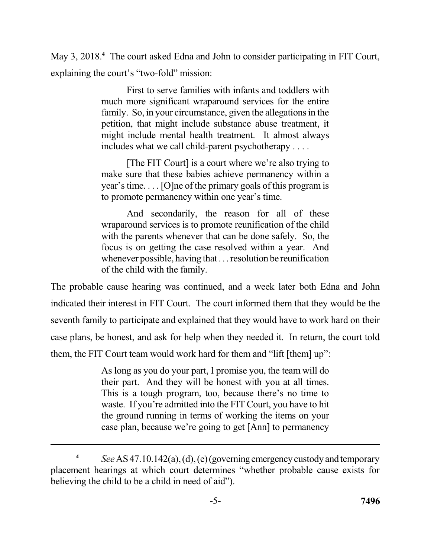May 3, 2018.<sup>4</sup> The court asked Edna and John to consider participating in FIT Court, explaining the court's "two-fold" mission:

> First to serve families with infants and toddlers with much more significant wraparound services for the entire family. So, in your circumstance, given the allegations in the petition, that might include substance abuse treatment, it might include mental health treatment. It almost always includes what we call child-parent psychotherapy . . . .

> [The FIT Court] is a court where we're also trying to make sure that these babies achieve permanency within a year's time. . . . [O]ne of the primary goals of this program is to promote permanency within one year's time.

> And secondarily, the reason for all of these wraparound services is to promote reunification of the child with the parents whenever that can be done safely. So, the focus is on getting the case resolved within a year. And whenever possible, having that . . . resolution be reunification of the child with the family.

 The probable cause hearing was continued, and a week later both Edna and John indicated their interest in FIT Court. The court informed them that they would be the seventh family to participate and explained that they would have to work hard on their case plans, be honest, and ask for help when they needed it. In return, the court told them, the FIT Court team would work hard for them and "lift [them] up":

> As long as you do your part, I promise you, the team will do their part. And they will be honest with you at all times. This is a tough program, too, because there's no time to waste. If you're admitted into the FIT Court, you have to hit the ground running in terms of working the items on your case plan, because we're going to get [Ann] to permanency

 **<sup>4</sup>***See* AS47.10.142(a),(d), (e)(governingemergency custody and temporary placement hearings at which court determines "whether probable cause exists for believing the child to be a child in need of aid").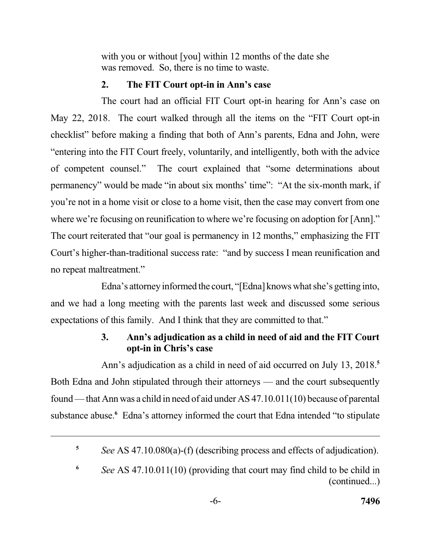with you or without [you] within 12 months of the date she was removed. So, there is no time to waste.

## **2. The FIT Court opt-in in Ann's case**

 The court had an official FIT Court opt-in hearing for Ann's case on May 22, 2018. The court walked through all the items on the "FIT Court opt-in checklist" before making a finding that both of Ann's parents, Edna and John, were of competent counsel." permanency" would be made "in about six months' time": "At the six-month mark, if you're not in a home visit or close to a home visit, then the case may convert from one where we're focusing on reunification to where we're focusing on adoption for [Ann]." Court's higher-than-traditional success rate: "and by success I mean reunification and no repeat maltreatment." "entering into the FIT Court freely, voluntarily, and intelligently, both with the advice The court explained that "some determinations about The court reiterated that "our goal is permanency in 12 months," emphasizing the FIT

 Edna's attorney informed the court, "[Edna] knows what she's getting into, and we had a long meeting with the parents last week and discussed some serious expectations of this family. And I think that they are committed to that."

# **3. Ann's adjudication as a child in need of aid and the FIT Court opt-in in Chris's case**

 Ann's adjudication as a child in need of aid occurred on July 13, 2018.**<sup>5</sup>** Both Edna and John stipulated through their attorneys — and the court subsequently found — that Ann was a child in need of aid under AS 47.10.011(10) because of parental substance abuse.**<sup>6</sup>** Edna's attorney informed the court that Edna intended "to stipulate

 **<sup>5</sup>***See* AS 47.10.080(a)-(f) (describing process and effects of adjudication).

 **<sup>6</sup>***See* AS 47.10.011(10) (providing that court may find child to be child in (continued...)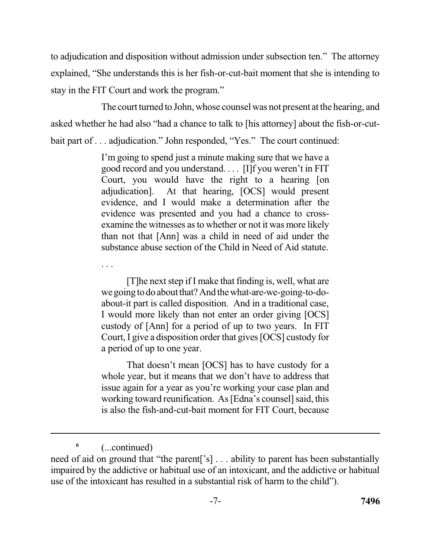to adjudication and disposition without admission under subsection ten." The attorney explained, "She understands this is her fish-or-cut-bait moment that she is intending to stay in the FIT Court and work the program."

 The court turned to John, whose counsel was not present at the hearing, and asked whether he had also "had a chance to talk to [his attorney] about the fish-or-cut-bait part of . . . adjudication." John responded, "Yes." The court continued:

> I'm going to spend just a minute making sure that we have a good record and you understand. . . . [I]f you weren't in FIT Court, you would have the right to a hearing [on adjudication]. evidence, and I would make a determination after the evidence was presented and you had a chance to cross- examine the witnesses as to whether or not it was more likely than not that [Ann] was a child in need of aid under the substance abuse section of the Child in Need of Aid statute. At that hearing, [OCS] would present

> [T]he next step if I make that finding is, well, what are wegoing to doabout that? And thewhat-are-we-going-to-do- about-it part is called disposition. And in a traditional case, I would more likely than not enter an order giving [OCS] custody of [Ann] for a period of up to two years. In FIT Court, I give a disposition order that gives [OCS] custody for a period of up to one year.

> That doesn't mean [OCS] has to have custody for a whole year, but it means that we don't have to address that working toward reunification. As [Edna's counsel] said, this issue again for a year as you're working your case plan and is also the fish-and-cut-bait moment for FIT Court, because

**<sup>6</sup>**(...continued)

. . .

 need of aid on ground that "the parent['s] . . . ability to parent has been substantially impaired by the addictive or habitual use of an intoxicant, and the addictive or habitual use of the intoxicant has resulted in a substantial risk of harm to the child").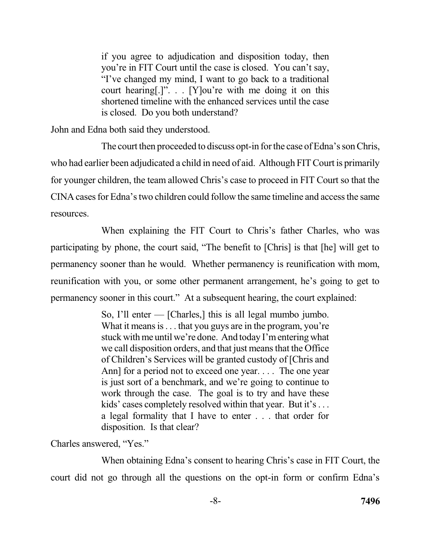if you agree to adjudication and disposition today, then "I've changed my mind, I want to go back to a traditional court hearing[.]". . . [Y]ou're with me doing it on this shortened timeline with the enhanced services until the case is closed. Do you both understand? you're in FIT Court until the case is closed. You can't say,

John and Edna both said they understood.

 The court then proceeded to discuss opt-in for the case of Edna's son Chris, who had earlier been adjudicated a child in need of aid. Although FIT Court is primarily for younger children, the team allowed Chris's case to proceed in FIT Court so that the CINA cases for Edna's two children could follow the same timeline and access the same resources.

 When explaining the FIT Court to Chris's father Charles, who was participating by phone, the court said, "The benefit to [Chris] is that [he] will get to permanency sooner than he would. Whether permanency is reunification with mom, reunification with you, or some other permanent arrangement, he's going to get to permanency sooner in this court." At a subsequent hearing, the court explained:

> So, I'll enter — [Charles,] this is all legal mumbo jumbo. What it means is . . . that you guys are in the program, you're stuck with me until we're done. And today I'm entering what we call disposition orders, and that just means that the Office of Children's Services will be granted custody of [Chris and is just sort of a benchmark, and we're going to continue to work through the case. The goal is to try and have these kids' cases completely resolved within that year. But it's . . . a legal formality that I have to enter . . . that order for disposition. Is that clear? Ann] for a period not to exceed one year.... The one year

Charles answered, "Yes."

 When obtaining Edna's consent to hearing Chris's case in FIT Court, the court did not go through all the questions on the opt-in form or confirm Edna's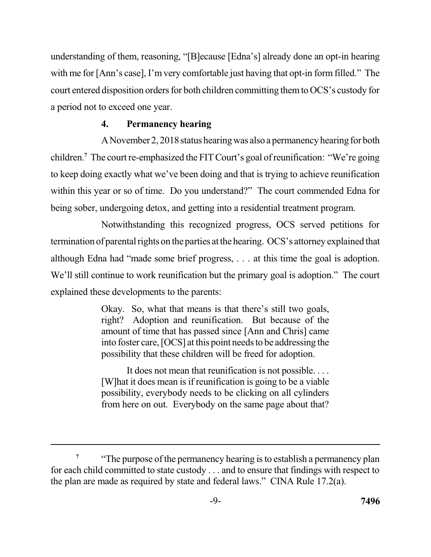understanding of them, reasoning, "[B]ecause [Edna's] already done an opt-in hearing with me for [Ann's case], I'm very comfortable just having that opt-in form filled." The court entered disposition orders for both children committing them to OCS's custody for a period not to exceed one year.

## **4. Permanency hearing**

 ANovember 2, 2018 status hearing was also a permanency hearing for both children.**<sup>7</sup>**The court re-emphasized the FIT Court's goal of reunification: "We're going to keep doing exactly what we've been doing and that is trying to achieve reunification within this year or so of time. Do you understand?" The court commended Edna for being sober, undergoing detox, and getting into a residential treatment program.

 Notwithstanding this recognized progress, OCS served petitions for termination of parental rights on the parties at the hearing. OCS's attorney explained that although Edna had "made some brief progress, . . . at this time the goal is adoption. We'll still continue to work reunification but the primary goal is adoption." The court explained these developments to the parents:

> Okay. So, what that means is that there's still two goals, right? Adoption and reunification. But because of the into foster care, [OCS] at this point needs to be addressing the possibility that these children will be freed for adoption. amount of time that has passed since [Ann and Chris] came

> It does not mean that reunification is not possible. . . . [W]hat it does mean is if reunification is going to be a viable possibility, everybody needs to be clicking on all cylinders from here on out. Everybody on the same page about that?

<sup>&</sup>lt;sup>7</sup> "The purpose of the permanency hearing is to establish a permanency plan for each child committed to state custody . . . and to ensure that findings with respect to the plan are made as required by state and federal laws." CINA Rule 17.2(a).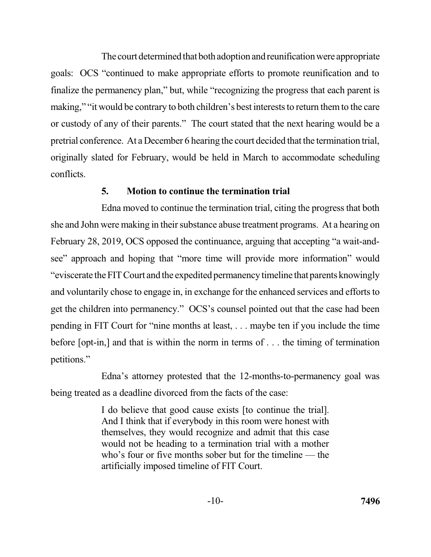The court determined that both adoption and reunification were appropriate goals: OCS "continued to make appropriate efforts to promote reunification and to finalize the permanency plan," but, while "recognizing the progress that each parent is making," "it would be contrary to both children's best interests to return them to the care or custody of any of their parents." The court stated that the next hearing would be a pretrial conference. At a December 6 hearing the court decided that the termination trial, originally slated for February, would be held in March to accommodate scheduling conflicts.

### **5. Motion to continue the termination trial**

 Edna moved to continue the termination trial, citing the progress that both she and John were making in their substance abuse treatment programs. At a hearing on February 28, 2019, OCS opposed the continuance, arguing that accepting "a wait-and- see" approach and hoping that "more time will provide more information" would "eviscerate the FIT Court and the expedited permanency timeline that parents knowingly and voluntarily chose to engage in, in exchange for the enhanced services and efforts to get the children into permanency." OCS's counsel pointed out that the case had been pending in FIT Court for "nine months at least, . . . maybe ten if you include the time before [opt-in,] and that is within the norm in terms of . . . the timing of termination petitions."

 Edna's attorney protested that the 12-months-to-permanency goal was being treated as a deadline divorced from the facts of the case:

> I do believe that good cause exists [to continue the trial]. And I think that if everybody in this room were honest with themselves, they would recognize and admit that this case would not be heading to a termination trial with a mother who's four or five months sober but for the timeline — the artificially imposed timeline of FIT Court.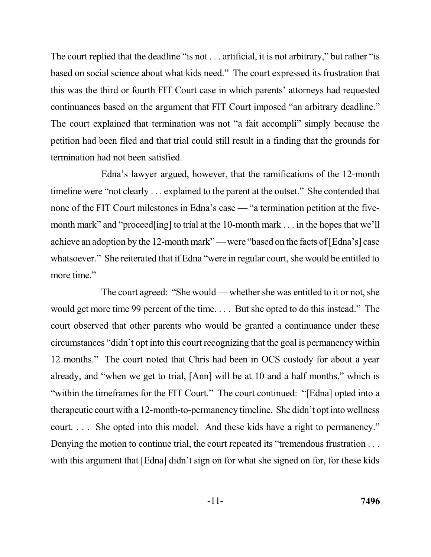The court replied that the deadline "is not . . . artificial, it is not arbitrary," but rather "is based on social science about what kids need." The court expressed its frustration that this was the third or fourth FIT Court case in which parents' attorneys had requested continuances based on the argument that FIT Court imposed "an arbitrary deadline." The court explained that termination was not "a fait accompli" simply because the petition had been filed and that trial could still result in a finding that the grounds for termination had not been satisfied.

 Edna's lawyer argued, however, that the ramifications of the 12-month timeline were "not clearly . . . explained to the parent at the outset." She contended that none of the FIT Court milestones in Edna's case — "a termination petition at the fivemonth mark" and "proceed[ing] to trial at the 10-month mark . . . in the hopes that we'll achieve an adoption by the 12-month mark" — were "based on the facts of [Edna's] case whatsoever." She reiterated that if Edna "were in regular court, she would be entitled to more time."

 The court agreed: "She would — whether she was entitled to it or not, she would get more time 99 percent of the time. . . . But she opted to do this instead." The court observed that other parents who would be granted a continuance under these circumstances "didn't opt into this court recognizing that the goal is permanency within 12 months." The court noted that Chris had been in OCS custody for about a year already, and "when we get to trial, [Ann] will be at 10 and a half months," which is "within the timeframes for the FIT Court." The court continued: "[Edna] opted into a therapeutic court with a 12-month-to-permanency timeline. She didn't opt into wellness court. . . . She opted into this model. And these kids have a right to permanency." Denying the motion to continue trial, the court repeated its "tremendous frustration . . . with this argument that [Edna] didn't sign on for what she signed on for, for these kids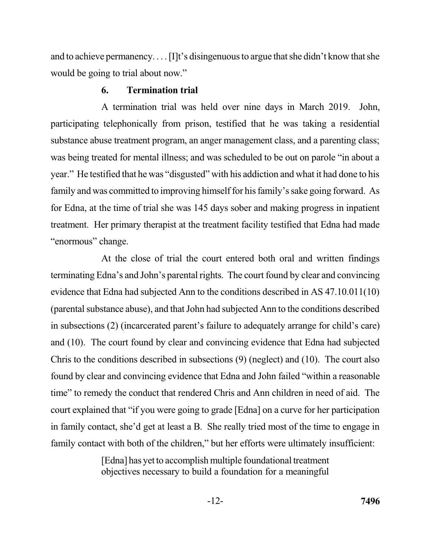and to achieve permanency. . . . [I]t's disingenuous to argue that she didn't know that she would be going to trial about now."

#### **6. Termination trial**

 A termination trial was held over nine days in March 2019. John, participating telephonically from prison, testified that he was taking a residential substance abuse treatment program, an anger management class, and a parenting class; was being treated for mental illness; and was scheduled to be out on parole "in about a year." He testified that he was "disgusted" with his addiction and what it had done to his family and was committed to improving himself for his family's sake going forward. As for Edna, at the time of trial she was 145 days sober and making progress in inpatient treatment. Her primary therapist at the treatment facility testified that Edna had made "enormous" change.

 At the close of trial the court entered both oral and written findings terminating Edna's and John's parental rights. The court found by clear and convincing evidence that Edna had subjected Ann to the conditions described in AS 47.10.011(10) (parental substance abuse), and that John had subjected Ann to the conditions described and (10). The court found by clear and convincing evidence that Edna had subjected Chris to the conditions described in subsections (9) (neglect) and (10). The court also found by clear and convincing evidence that Edna and John failed "within a reasonable time" to remedy the conduct that rendered Chris and Ann children in need of aid. The court explained that "if you were going to grade [Edna] on a curve for her participation family contact with both of the children," but her efforts were ultimately insufficient: in subsections (2) (incarcerated parent's failure to adequately arrange for child's care) in family contact, she'd get at least a B. She really tried most of the time to engage in

> [Edna] has yet to accomplish multiple foundational treatment objectives necessary to build a foundation for a meaningful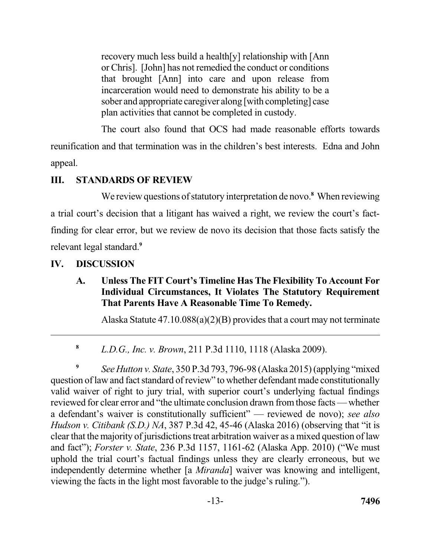recovery much less build a health[y] relationship with [Ann or Chris]. [John] has not remedied the conduct or conditions that brought [Ann] into care and upon release from incarceration would need to demonstrate his ability to be a sober and appropriate caregiver along [with completing] case plan activities that cannot be completed in custody.

 The court also found that OCS had made reasonable efforts towards reunification and that termination was in the children's best interests. Edna and John appeal.

# **III. STANDARDS OF REVIEW**

We review questions of statutory interpretation de novo.<sup>8</sup> When reviewing a trial court's decision that a litigant has waived a right, we review the court's fact- finding for clear error, but we review de novo its decision that those facts satisfy the relevant legal standard.**<sup>9</sup>**

# **IV. DISCUSSION**

# **A. Unless The FIT Court's Timeline Has The Flexibility To Account For Individual Circumstances, It Violates The Statutory Requirement That Parents Have A Reasonable Time To Remedy.**

Alaska Statute 47.10.088(a)(2)(B) provides that a court may not terminate

 **<sup>8</sup>***L.D.G., Inc. v. Brown*, 211 P.3d 1110, 1118 (Alaska 2009).

<sup>9</sup> See Hutton v. State, 350 P.3d 793, 796-98 (Alaska 2015) (applying "mixed" question of law and fact standard of review" to whether defendant made constitutionally valid waiver of right to jury trial, with superior court's underlying factual findings reviewed for clear error and "the ultimate conclusion drawn from those facts — whether a defendant's waiver is constitutionally sufficient" — reviewed de novo); *see also Hudson v. Citibank (S.D.) NA*, 387 P.3d 42, 45-46 (Alaska 2016) (observing that "it is clear that the majority of jurisdictions treat arbitration waiver as a mixed question of law and fact"); *Forster v. State*, 236 P.3d 1157, 1161-62 (Alaska App. 2010) ("We must uphold the trial court's factual findings unless they are clearly erroneous, but we independently determine whether [a *Miranda*] waiver was knowing and intelligent, viewing the facts in the light most favorable to the judge's ruling.").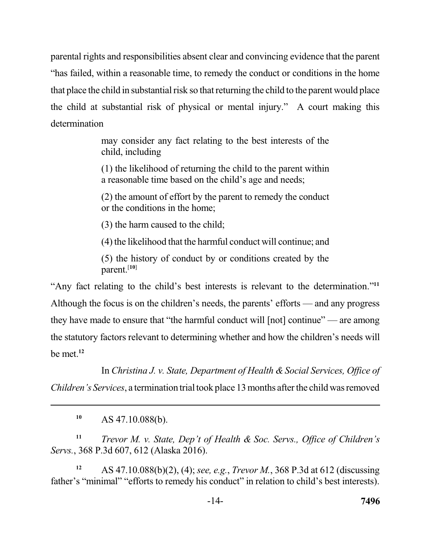parental rights and responsibilities absent clear and convincing evidence that the parent "has failed, within a reasonable time, to remedy the conduct or conditions in the home that place the child in substantial risk so that returning the child to the parent would place the child at substantial risk of physical or mental injury." A court making this determination

> may consider any fact relating to the best interests of the child, including

> (1) the likelihood of returning the child to the parent within a reasonable time based on the child's age and needs;

> (2) the amount of effort by the parent to remedy the conduct or the conditions in the home;

(3) the harm caused to the child;

(4) the likelihood that the harmful conduct will continue; and

 (5) the history of conduct by or conditions created by the parent.[**10**]

 "Any fact relating to the child's best interests is relevant to the determination."**<sup>11</sup>** Although the focus is on the children's needs, the parents' efforts — and any progress they have made to ensure that "the harmful conduct will [not] continue" — are among the statutory factors relevant to determining whether and how the children's needs will be met.**<sup>12</sup>**

 In *Christina J. v. State, Department of Health & Social Services, Office of Children's Services*, a termination trial took place 13 months after the child was removed

**<sup>10</sup>**AS 47.10.088(b).

 **<sup>11</sup>***Trevor M. v. State, Dep't of Health & Soc. Servs., Office of Children's Servs.*, 368 P.3d 607, 612 (Alaska 2016).

 **<sup>12</sup>**AS 47.10.088(b)(2), (4); *see, e.g.*, *Trevor M.*, 368 P.3d at 612 (discussing father's "minimal" "efforts to remedy his conduct" in relation to child's best interests).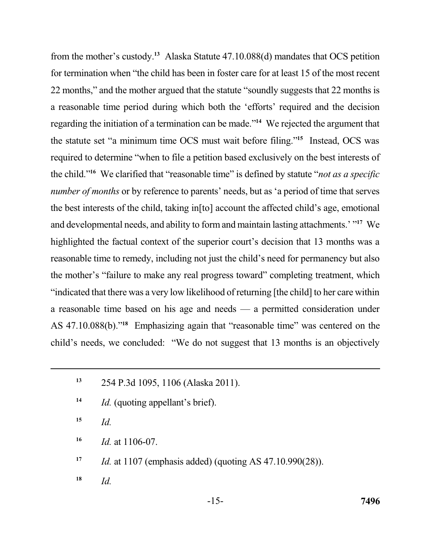from the mother's custody.**<sup>13</sup>** Alaska Statute 47.10.088(d) mandates that OCS petition for termination when "the child has been in foster care for at least 15 of the most recent 22 months," and the mother argued that the statute "soundly suggests that 22 months is a reasonable time period during which both the 'efforts' required and the decision regarding the initiation of a termination can be made.<sup>"14</sup> We rejected the argument that the statute set "a minimum time OCS must wait before filing."<sup>15</sup> Instead, OCS was required to determine "when to file a petition based exclusively on the best interests of the child."**<sup>16</sup>**We clarified that "reasonable time" is defined by statute "*not as a specific number of months* or by reference to parents' needs, but as 'a period of time that serves the best interests of the child, taking in[to] account the affected child's age, emotional and developmental needs, and ability to form and maintain lasting attachments.' "**<sup>17</sup>**We highlighted the factual context of the superior court's decision that 13 months was a reasonable time to remedy, including not just the child's need for permanency but also the mother's "failure to make any real progress toward" completing treatment, which "indicated that there was a very low likelihood of returning [the child] to her care within a reasonable time based on his age and needs — a permitted consideration under AS 47.10.088(b)."<sup>18</sup> Emphasizing again that "reasonable time" was centered on the child's needs, we concluded: "We do not suggest that 13 months is an objectively

- <sup>14</sup> *Id.* (quoting appellant's brief).
- **<sup>15</sup>***Id.*
- **<sup>16</sup>***Id.* at 1106-07.
- **<sup>17</sup>***Id.* at 1107 (emphasis added) (quoting AS 47.10.990(28)).
- $18$  *Id.*

 **<sup>13</sup>**254 P.3d 1095, 1106 (Alaska 2011).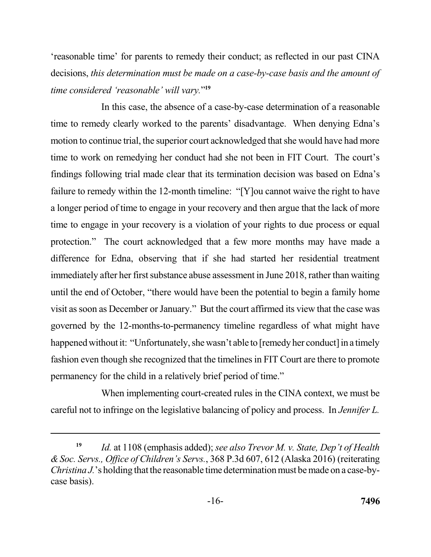'reasonable time' for parents to remedy their conduct; as reflected in our past CINA  decisions, *this determination must be made on a case-by-case basis and the amount of time considered 'reasonable' will vary.*"**<sup>19</sup>**

 In this case, the absence of a case-by-case determination of a reasonable time to remedy clearly worked to the parents' disadvantage. When denying Edna's motion to continue trial, the superior court acknowledged that she would have had more time to work on remedying her conduct had she not been in FIT Court. The court's findings following trial made clear that its termination decision was based on Edna's failure to remedy within the 12-month timeline: "[Y]ou cannot waive the right to have a longer period of time to engage in your recovery and then argue that the lack of more time to engage in your recovery is a violation of your rights to due process or equal protection." The court acknowledged that a few more months may have made a difference for Edna, observing that if she had started her residential treatment immediately after her first substance abuse assessment in June 2018, rather than waiting visit as soon as December or January." But the court affirmed its view that the case was governed by the 12-months-to-permanency timeline regardless of what might have happened without it: "Unfortunately, she wasn't able to [remedy her conduct] in a timely fashion even though she recognized that the timelines in FIT Court are there to promote permanency for the child in a relatively brief period of time." until the end of October, "there would have been the potential to begin a family home

 When implementing court-created rules in the CINA context, we must be careful not to infringe on the legislative balancing of policy and process. In *Jennifer L.* 

 **<sup>19</sup>***Id.* at 1108 (emphasis added); *see also Trevor M. v. State, Dep't of Health & Soc. Servs., Office of Children's Servs.*, 368 P.3d 607, 612 (Alaska 2016) (reiterating *Christina J.*'s holding that the reasonable time determination must be made on a case-bycase basis).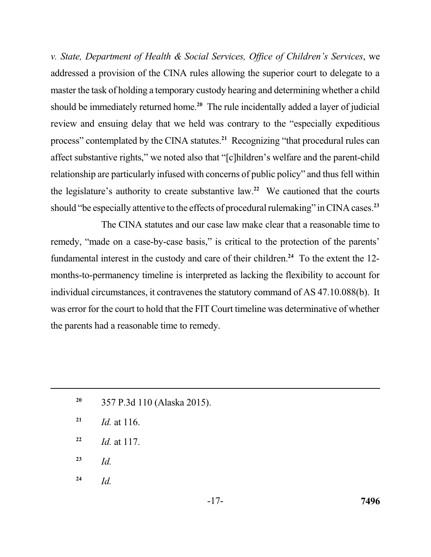*v. State, Department of Health & Social Services, Office of Children's Services*, we addressed a provision of the CINA rules allowing the superior court to delegate to a master the task of holding a temporary custody hearing and determining whether a child should be immediately returned home.**<sup>20</sup>**The rule incidentally added a layer of judicial review and ensuing delay that we held was contrary to the "especially expeditious process" contemplated by the CINA statutes.<sup>21</sup> Recognizing "that procedural rules can affect substantive rights," we noted also that "[c]hildren's welfare and the parent-child relationship are particularly infused with concerns of public policy" and thus fell within the legislature's authority to create substantive law.<sup>22</sup> We cautioned that the courts should "be especially attentive to the effects of procedural rulemaking" in CINA cases.**<sup>23</sup>**

 The CINA statutes and our case law make clear that a reasonable time to remedy, "made on a case-by-case basis," is critical to the protection of the parents' fundamental interest in the custody and care of their children.<sup>24</sup> To the extent the 12- months-to-permanency timeline is interpreted as lacking the flexibility to account for individual circumstances, it contravenes the statutory command of AS 47.10.088(b). It was error for the court to hold that the FIT Court timeline was determinative of whether the parents had a reasonable time to remedy.

- **<sup>20</sup>**357 P.3d 110 (Alaska 2015).
- **<sup>21</sup>***Id.* at 116.
- **<sup>22</sup>***Id.* at 117.
- $^{23}$  *Id.*
- 24  $Id$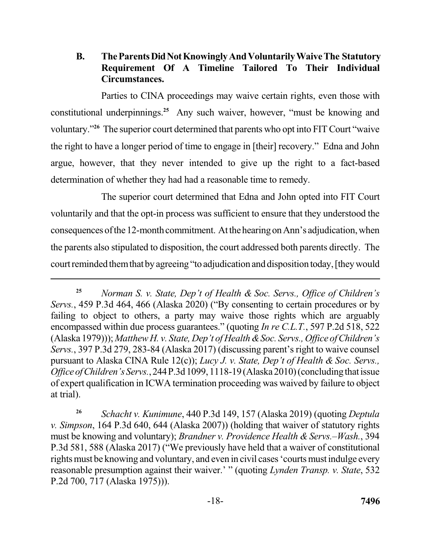## **B. TheParentsDidNotKnowingly AndVoluntarilyWaiveThe Statutory Requirement Of A Timeline Tailored To Their Individual Circumstances.**

 Parties to CINA proceedings may waive certain rights, even those with constitutional underpinnings.**<sup>25</sup>**Any such waiver, however, "must be knowing and voluntary."**<sup>26</sup>**The superior court determined that parents who opt into FIT Court "waive the right to have a longer period of time to engage in [their] recovery." Edna and John argue, however, that they never intended to give up the right to a fact-based determination of whether they had had a reasonable time to remedy.

 The superior court determined that Edna and John opted into FIT Court voluntarily and that the opt-in process was sufficient to ensure that they understood the consequences of the 12-month commitment. At the hearing on Ann's adjudication, when the parents also stipulated to disposition, the court addressed both parents directly. The court reminded them that by agreeing "to adjudication and disposition today, [they would

 **<sup>25</sup>***Norman S. v. State, Dep't of Health & Soc. Servs., Office of Children's Servs.*, 459 P.3d 464, 466 (Alaska 2020) ("By consenting to certain procedures or by failing to object to others, a party may waive those rights which are arguably encompassed within due process guarantees." (quoting *In re C.L.T.*, 597 P.2d 518, 522 (Alaska 1979))); *Matthew H. v. State, Dep't of Health &Soc. Servs., Office of Children's Servs.*, 397 P.3d 279, 283-84 (Alaska 2017) (discussing parent's right to waive counsel *Office of Children's Servs.*, 244 P.3d 1099, 1118-19 (Alaska 2010) (concluding that issue of expert qualification in ICWA termination proceeding was waived by failure to object at trial). pursuant to Alaska CINA Rule 12(c)); *Lucy J. v. State, Dep't of Health & Soc. Servs.,* 

 **<sup>26</sup>***Schacht v. Kunimune*, 440 P.3d 149, 157 (Alaska 2019) (quoting *Deptula v. Simpson*, 164 P.3d 640, 644 (Alaska 2007)) (holding that waiver of statutory rights must be knowing and voluntary); *Brandner v. Providence Health & Servs.–Wash.*, 394 P.3d 581, 588 (Alaska 2017) ("We previously have held that a waiver of constitutional rights must be knowing and voluntary, and even in civil cases 'courts must indulge every P.2d 700, 717 (Alaska 1975))). reasonable presumption against their waiver.' " (quoting *Lynden Transp. v. State*, 532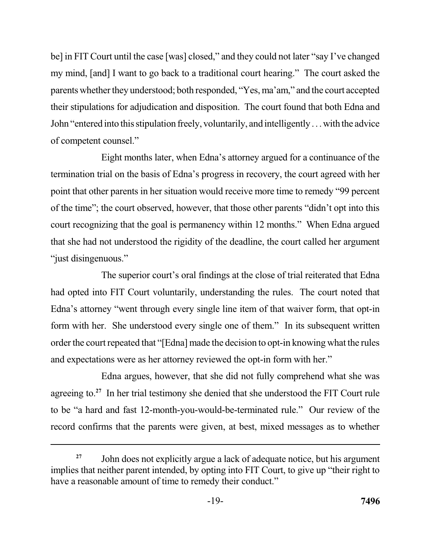be] in FIT Court until the case [was] closed," and they could not later "say I've changed my mind, [and] I want to go back to a traditional court hearing." The court asked the parents whether they understood; both responded, "Yes, ma'am," and the court accepted their stipulations for adjudication and disposition. The court found that both Edna and John "entered into this stipulation freely, voluntarily, and intelligently . . . with the advice of competent counsel."

 Eight months later, when Edna's attorney argued for a continuance of the termination trial on the basis of Edna's progress in recovery, the court agreed with her point that other parents in her situation would receive more time to remedy "99 percent of the time"; the court observed, however, that those other parents "didn't opt into this court recognizing that the goal is permanency within 12 months." When Edna argued that she had not understood the rigidity of the deadline, the court called her argument "just disingenuous."

 The superior court's oral findings at the close of trial reiterated that Edna had opted into FIT Court voluntarily, understanding the rules. The court noted that Edna's attorney "went through every single line item of that waiver form, that opt-in form with her. She understood every single one of them." In its subsequent written order the court repeated that "[Edna] made the decision to opt-in knowing what the rules and expectations were as her attorney reviewed the opt-in form with her."

 Edna argues, however, that she did not fully comprehend what she was agreeing to.**<sup>27</sup>** In her trial testimony she denied that she understood the FIT Court rule to be "a hard and fast 12-month-you-would-be-terminated rule." Our review of the record confirms that the parents were given, at best, mixed messages as to whether

<sup>&</sup>lt;sup>27</sup> John does not explicitly argue a lack of adequate notice, but his argument implies that neither parent intended, by opting into FIT Court, to give up "their right to have a reasonable amount of time to remedy their conduct."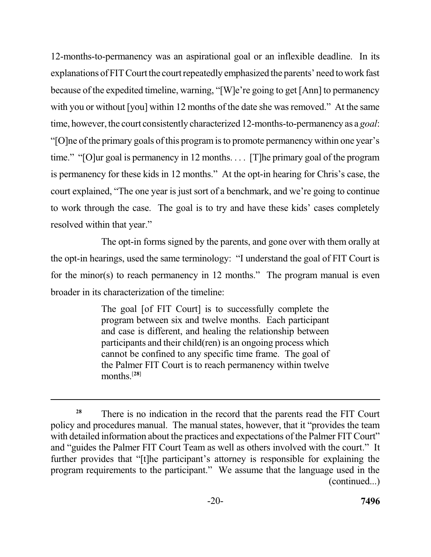12-months-to-permanency was an aspirational goal or an inflexible deadline. In its explanations of FIT Court the court repeatedly emphasized the parents' need to work fast because of the expedited timeline, warning, "[W]e're going to get [Ann] to permanency with you or without [you] within 12 months of the date she was removed." At the same time, however, the court consistently characterized 12-months-to-permanency as a *goal*: "[O]ne of the primary goals of this program is to promote permanency within one year's time." "[O]ur goal is permanency in 12 months. . . . [T]he primary goal of the program is permanency for these kids in 12 months." At the opt-in hearing for Chris's case, the court explained, "The one year is just sort of a benchmark, and we're going to continue to work through the case. The goal is to try and have these kids' cases completely resolved within that year."

 The opt-in forms signed by the parents, and gone over with them orally at the opt-in hearings, used the same terminology: "I understand the goal of FIT Court is for the minor(s) to reach permanency in 12 months." The program manual is even broader in its characterization of the timeline:

> The goal [of FIT Court] is to successfully complete the program between six and twelve months. Each participant and case is different, and healing the relationship between participants and their child(ren) is an ongoing process which cannot be confined to any specific time frame. The goal of the Palmer FIT Court is to reach permanency within twelve months.[**28**]

<sup>&</sup>lt;sup>28</sup> There is no indication in the record that the parents read the FIT Court policy and procedures manual. The manual states, however, that it "provides the team with detailed information about the practices and expectations of the Palmer FIT Court" and "guides the Palmer FIT Court Team as well as others involved with the court." It further provides that "[t]he participant's attorney is responsible for explaining the program requirements to the participant." We assume that the language used in the (continued...)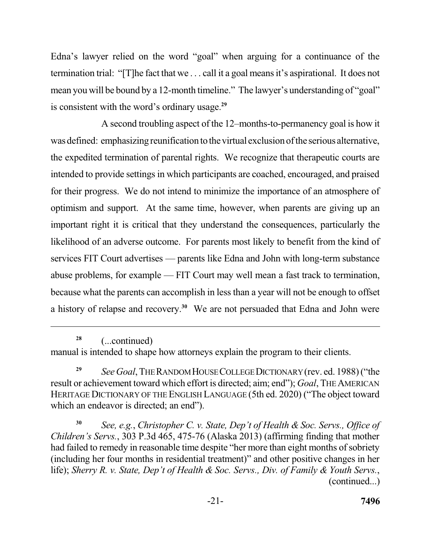Edna's lawyer relied on the word "goal" when arguing for a continuance of the termination trial: "[T]he fact that we . . . call it a goal means it's aspirational. It does not mean you will be bound by a 12-month timeline." The lawyer's understanding of "goal" is consistent with the word's ordinary usage.**<sup>29</sup>**

 A second troubling aspect of the 12–months-to-permanency goal is how it was defined: emphasizing reunification to the virtual exclusion of the serious alternative, the expedited termination of parental rights. We recognize that therapeutic courts are intended to provide settings in which participants are coached, encouraged, and praised for their progress. We do not intend to minimize the importance of an atmosphere of optimism and support. At the same time, however, when parents are giving up an important right it is critical that they understand the consequences, particularly the likelihood of an adverse outcome. For parents most likely to benefit from the kind of services FIT Court advertises — parents like Edna and John with long-term substance abuse problems, for example — FIT Court may well mean a fast track to termination, because what the parents can accomplish in less than a year will not be enough to offset a history of relapse and recovery.**<sup>30</sup>**We are not persuaded that Edna and John were

**<sup>28</sup>**(...continued)

 manual is intended to shape how attorneys explain the program to their clients.

 **<sup>29</sup>***See Goal*, THE RANDOM HOUSE COLLEGE DICTIONARY (rev. ed. 1988) ("the result or achievement toward which effort is directed; aim; end"); *Goal*, THE AMERICAN HERITAGE DICTIONARY OF THE ENGLISH LANGUAGE (5th ed. 2020) ("The object toward which an endeavor is directed; an end").

 **<sup>30</sup>***See, e.g.*, *Christopher C. v. State, Dep't of Health & Soc. Servs., Office of*  had failed to remedy in reasonable time despite "her more than eight months of sobriety (including her four months in residential treatment)" and other positive changes in her  life); *Sherry R. v. State, Dep't of Health & Soc. Servs., Div. of Family & Youth Servs.*, *Children's Servs.*, 303 P.3d 465, 475-76 (Alaska 2013) (affirming finding that mother (continued...)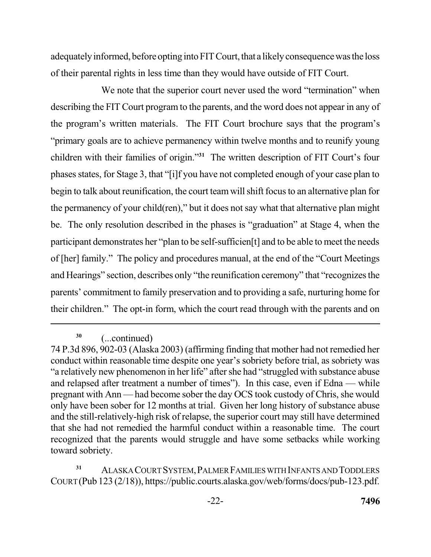adequately informed, before opting into FIT Court, that a likely consequence was the loss of their parental rights in less time than they would have outside of FIT Court.

 We note that the superior court never used the word "termination" when describing the FIT Court program to the parents, and the word does not appear in any of the program's written materials. The FIT Court brochure says that the program's "primary goals are to achieve permanency within twelve months and to reunify young children with their families of origin."**<sup>31</sup>**The written description of FIT Court's four phases states, for Stage 3, that "[i]f you have not completed enough of your case plan to begin to talk about reunification, the court team will shift focus to an alternative plan for the permanency of your child(ren)," but it does not say what that alternative plan might be. The only resolution described in the phases is "graduation" at Stage 4, when the participant demonstrates her "plan to be self-sufficien[t] and to be able to meet the needs of [her] family." The policy and procedures manual, at the end of the "Court Meetings and Hearings" section, describes only "the reunification ceremony" that "recognizes the parents' commitment to family preservation and to providing a safe, nurturing home for their children." The opt-in form, which the court read through with the parents and on

 **<sup>31</sup>**ALASKA COURT SYSTEM,PALMER FAMILIES WITH INFANTS ANDTODDLERS COURT (Pub 123 (2/18)), https://public.courts.alaska.gov/web/forms/docs/pub-123.pdf.

**<sup>30</sup>**(...continued)

 74 P.3d 896, 902-03 (Alaska 2003) (affirming finding that mother had not remedied her conduct within reasonable time despite one year's sobriety before trial, as sobriety was "a relatively new phenomenon in her life" after she had "struggled with substance abuse and relapsed after treatment a number of times"). In this case, even if Edna — while pregnant with Ann — had become sober the day OCS took custody of Chris, she would only have been sober for 12 months at trial. Given her long history of substance abuse and the still-relatively-high risk of relapse, the superior court may still have determined that she had not remedied the harmful conduct within a reasonable time. The court recognized that the parents would struggle and have some setbacks while working toward sobriety.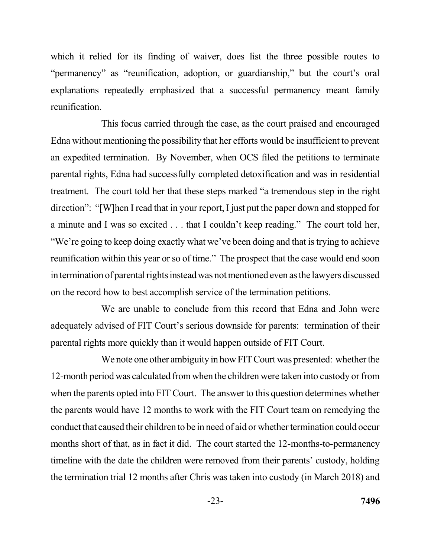which it relied for its finding of waiver, does list the three possible routes to "permanency" as "reunification, adoption, or guardianship," but the court's oral explanations repeatedly emphasized that a successful permanency meant family reunification.

 This focus carried through the case, as the court praised and encouraged Edna without mentioning the possibility that her efforts would be insufficient to prevent an expedited termination. By November, when OCS filed the petitions to terminate parental rights, Edna had successfully completed detoxification and was in residential treatment. The court told her that these steps marked "a tremendous step in the right direction": "[W]hen I read that in your report, I just put the paper down and stopped for a minute and I was so excited . . . that I couldn't keep reading." The court told her, "We're going to keep doing exactly what we've been doing and that is trying to achieve reunification within this year or so of time." The prospect that the case would end soon in termination of parental rights instead was not mentioned even as the lawyers discussed on the record how to best accomplish service of the termination petitions.

 We are unable to conclude from this record that Edna and John were adequately advised of FIT Court's serious downside for parents: termination of their parental rights more quickly than it would happen outside of FIT Court.

 We note one other ambiguity in how FIT Court was presented: whether the 12-month period was calculated from when the children were taken into custody or from when the parents opted into FIT Court. The answer to this question determines whether conduct that caused their children to be in need of aid or whether termination could occur timeline with the date the children were removed from their parents' custody, holding the termination trial 12 months after Chris was taken into custody (in March 2018) and the parents would have 12 months to work with the FIT Court team on remedying the months short of that, as in fact it did. The court started the 12-months-to-permanency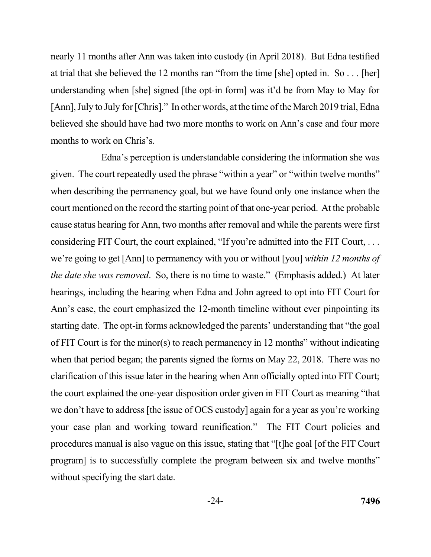nearly 11 months after Ann was taken into custody (in April 2018). But Edna testified at trial that she believed the 12 months ran "from the time [she] opted in. So . . . [her] understanding when [she] signed [the opt-in form] was it'd be from May to May for [Ann], July to July for [Chris]." In other words, at the time of the March 2019 trial, Edna believed she should have had two more months to work on Ann's case and four more months to work on Chris's.

 Edna's perception is understandable considering the information she was given. The court repeatedly used the phrase "within a year" or "within twelve months" when describing the permanency goal, but we have found only one instance when the court mentioned on the record the starting point of that one-year period. At the probable cause status hearing for Ann, two months after removal and while the parents were first considering FIT Court, the court explained, "If you're admitted into the FIT Court, . . . we're going to get [Ann] to permanency with you or without [you] *within 12 months of the date she was removed*. So, there is no time to waste." (Emphasis added.) At later hearings, including the hearing when Edna and John agreed to opt into FIT Court for Ann's case, the court emphasized the 12-month timeline without ever pinpointing its starting date. The opt-in forms acknowledged the parents' understanding that "the goal of FIT Court is for the minor(s) to reach permanency in 12 months" without indicating when that period began; the parents signed the forms on May 22, 2018. There was no clarification of this issue later in the hearing when Ann officially opted into FIT Court; the court explained the one-year disposition order given in FIT Court as meaning "that we don't have to address [the issue of OCS custody] again for a year as you're working your case plan and working toward reunification." The FIT Court policies and procedures manual is also vague on this issue, stating that "[t]he goal [of the FIT Court program] is to successfully complete the program between six and twelve months" without specifying the start date.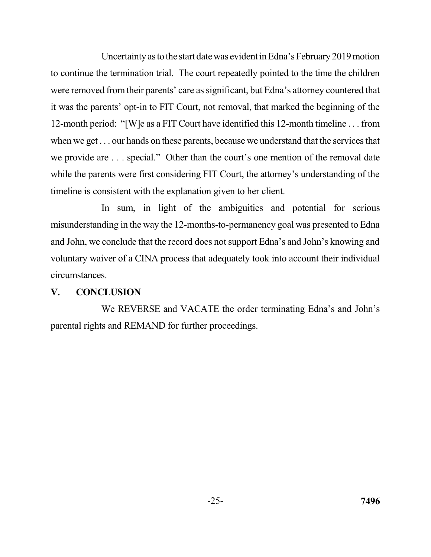Uncertainty as to the start date was evident in Edna's February 2019 motion to continue the termination trial. The court repeatedly pointed to the time the children were removed from their parents' care as significant, but Edna's attorney countered that it was the parents' opt-in to FIT Court, not removal, that marked the beginning of the 12-month period: "[W]e as a FIT Court have identified this 12-month timeline . . . from when we get . . . our hands on these parents, because we understand that the services that we provide are . . . special." Other than the court's one mention of the removal date while the parents were first considering FIT Court, the attorney's understanding of the timeline is consistent with the explanation given to her client.

 In sum, in light of the ambiguities and potential for serious misunderstanding in the way the 12-months-to-permanency goal was presented to Edna and John, we conclude that the record does not support Edna's and John's knowing and voluntary waiver of a CINA process that adequately took into account their individual circumstances.

### **V. CONCLUSION**

 We REVERSE and VACATE the order terminating Edna's and John's parental rights and REMAND for further proceedings.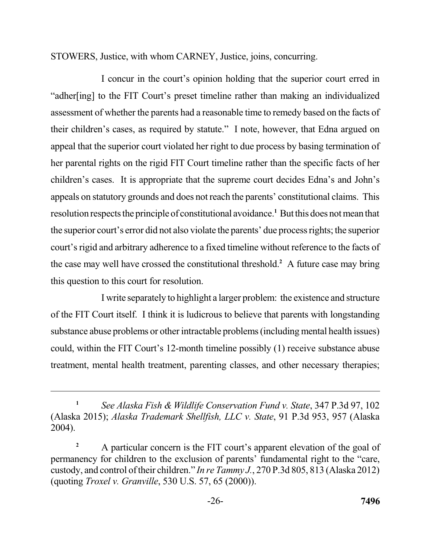STOWERS, Justice, with whom CARNEY, Justice, joins, concurring.

 I concur in the court's opinion holding that the superior court erred in "adher[ing] to the FIT Court's preset timeline rather than making an individualized assessment of whether the parents had a reasonable time to remedy based on the facts of their children's cases, as required by statute." I note, however, that Edna argued on appeal that the superior court violated her right to due process by basing termination of her parental rights on the rigid FIT Court timeline rather than the specific facts of her children's cases. It is appropriate that the supreme court decides Edna's and John's appeals on statutory grounds and does not reach the parents' constitutional claims. This resolution respects the principle of constitutional avoidance.<sup>1</sup> But this does not mean that the superior court's error did not also violate the parents' due process rights; the superior court's rigid and arbitrary adherence to a fixed timeline without reference to the facts of the case may well have crossed the constitutional threshold.**<sup>2</sup>** A future case may bring this question to this court for resolution.

 I write separately to highlight a larger problem: the existence and structure of the FIT Court itself. I think it is ludicrous to believe that parents with longstanding substance abuse problems or other intractable problems (including mental health issues) could, within the FIT Court's 12-month timeline possibly (1) receive substance abuse treatment, mental health treatment, parenting classes, and other necessary therapies;

 **<sup>1</sup>***See Alaska Fish & Wildlife Conservation Fund v. State*, 347 P.3d 97, 102 (Alaska 2015); *Alaska Trademark Shellfish, LLC v. State*, 91 P.3d 953, 957 (Alaska 2004).

<sup>&</sup>lt;sup>2</sup> A particular concern is the FIT court's apparent elevation of the goal of permanency for children to the exclusion of parents' fundamental right to the "care, custody, and control of their children." *In re Tammy J.*, 270 P.3d 805, 813 (Alaska 2012)  (quoting *Troxel v. Granville*, 530 U.S. 57, 65 (2000)).